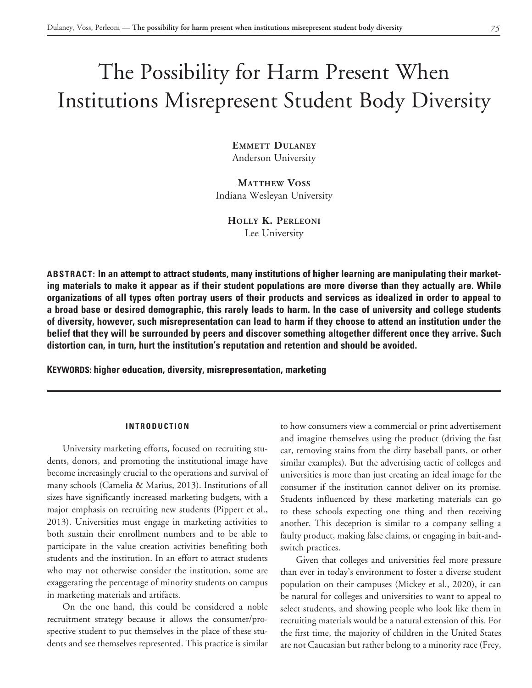# The Possibility for Harm Present When Institutions Misrepresent Student Body Diversity

**Emmett Dulaney** Anderson University

**Matthew Voss** Indiana Wesleyan University

**Holly K. Perleoni** Lee University

**ABSTRACT: In an attempt to attract students, many institutions of higher learning are manipulating their marketing materials to make it appear as if their student populations are more diverse than they actually are. While organizations of all types often portray users of their products and services as idealized in order to appeal to a broad base or desired demographic, this rarely leads to harm. In the case of university and college students of diversity, however, such misrepresentation can lead to harm if they choose to attend an institution under the belief that they will be surrounded by peers and discover something altogether different once they arrive. Such distortion can, in turn, hurt the institution's reputation and retention and should be avoided.**

**KEYWORDS: higher education, diversity, misrepresentation, marketing**

# **INTRODUCTION**

University marketing efforts, focused on recruiting students, donors, and promoting the institutional image have become increasingly crucial to the operations and survival of many schools (Camelia & Marius, 2013). Institutions of all sizes have significantly increased marketing budgets, with a major emphasis on recruiting new students (Pippert et al., 2013). Universities must engage in marketing activities to both sustain their enrollment numbers and to be able to participate in the value creation activities benefiting both students and the institution. In an effort to attract students who may not otherwise consider the institution, some are exaggerating the percentage of minority students on campus in marketing materials and artifacts.

On the one hand, this could be considered a noble recruitment strategy because it allows the consumer/prospective student to put themselves in the place of these students and see themselves represented. This practice is similar to how consumers view a commercial or print advertisement and imagine themselves using the product (driving the fast car, removing stains from the dirty baseball pants, or other similar examples). But the advertising tactic of colleges and universities is more than just creating an ideal image for the consumer if the institution cannot deliver on its promise. Students influenced by these marketing materials can go to these schools expecting one thing and then receiving another. This deception is similar to a company selling a faulty product, making false claims, or engaging in bait-andswitch practices.

Given that colleges and universities feel more pressure than ever in today's environment to foster a diverse student population on their campuses (Mickey et al., 2020), it can be natural for colleges and universities to want to appeal to select students, and showing people who look like them in recruiting materials would be a natural extension of this. For the first time, the majority of children in the United States are not Caucasian but rather belong to a minority race (Frey,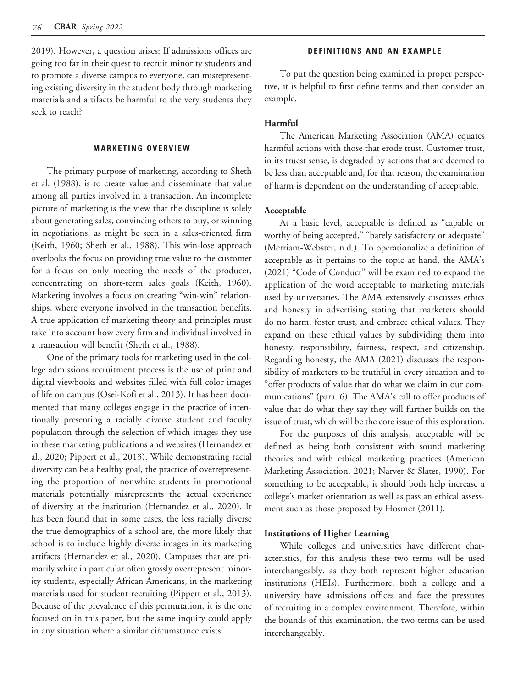2019). However, a question arises: If admissions offices are going too far in their quest to recruit minority students and to promote a diverse campus to everyone, can misrepresenting existing diversity in the student body through marketing materials and artifacts be harmful to the very students they seek to reach?

# **MARKETING OVERVIEW**

The primary purpose of marketing, according to Sheth et al. (1988), is to create value and disseminate that value among all parties involved in a transaction. An incomplete picture of marketing is the view that the discipline is solely about generating sales, convincing others to buy, or winning in negotiations, as might be seen in a sales-oriented firm (Keith, 1960; Sheth et al., 1988). This win-lose approach overlooks the focus on providing true value to the customer for a focus on only meeting the needs of the producer, concentrating on short-term sales goals (Keith, 1960). Marketing involves a focus on creating "win-win" relationships, where everyone involved in the transaction benefits. A true application of marketing theory and principles must take into account how every firm and individual involved in a transaction will benefit (Sheth et al., 1988).

One of the primary tools for marketing used in the college admissions recruitment process is the use of print and digital viewbooks and websites filled with full-color images of life on campus (Osei-Kofi et al., 2013). It has been documented that many colleges engage in the practice of intentionally presenting a racially diverse student and faculty population through the selection of which images they use in these marketing publications and websites (Hernandez et al., 2020; Pippert et al., 2013). While demonstrating racial diversity can be a healthy goal, the practice of overrepresenting the proportion of nonwhite students in promotional materials potentially misrepresents the actual experience of diversity at the institution (Hernandez et al., 2020). It has been found that in some cases, the less racially diverse the true demographics of a school are, the more likely that school is to include highly diverse images in its marketing artifacts (Hernandez et al., 2020). Campuses that are primarily white in particular often grossly overrepresent minority students, especially African Americans, in the marketing materials used for student recruiting (Pippert et al., 2013). Because of the prevalence of this permutation, it is the one focused on in this paper, but the same inquiry could apply in any situation where a similar circumstance exists.

## **DEFINITIONS AND AN EXAMPLE**

To put the question being examined in proper perspective, it is helpful to first define terms and then consider an example.

# **Harmful**

The American Marketing Association (AMA) equates harmful actions with those that erode trust. Customer trust, in its truest sense, is degraded by actions that are deemed to be less than acceptable and, for that reason, the examination of harm is dependent on the understanding of acceptable.

# **Acceptable**

At a basic level, acceptable is defined as "capable or worthy of being accepted," "barely satisfactory or adequate" (Merriam-Webster, n.d.). To operationalize a definition of acceptable as it pertains to the topic at hand, the AMA's (2021) "Code of Conduct" will be examined to expand the application of the word acceptable to marketing materials used by universities. The AMA extensively discusses ethics and honesty in advertising stating that marketers should do no harm, foster trust, and embrace ethical values. They expand on these ethical values by subdividing them into honesty, responsibility, fairness, respect, and citizenship. Regarding honesty, the AMA (2021) discusses the responsibility of marketers to be truthful in every situation and to "offer products of value that do what we claim in our communications" (para. 6). The AMA's call to offer products of value that do what they say they will further builds on the issue of trust, which will be the core issue of this exploration.

For the purposes of this analysis, acceptable will be defined as being both consistent with sound marketing theories and with ethical marketing practices (American Marketing Association, 2021; Narver & Slater, 1990). For something to be acceptable, it should both help increase a college's market orientation as well as pass an ethical assessment such as those proposed by Hosmer (2011).

## **Institutions of Higher Learning**

While colleges and universities have different characteristics, for this analysis these two terms will be used interchangeably, as they both represent higher education institutions (HEIs). Furthermore, both a college and a university have admissions offices and face the pressures of recruiting in a complex environment. Therefore, within the bounds of this examination, the two terms can be used interchangeably.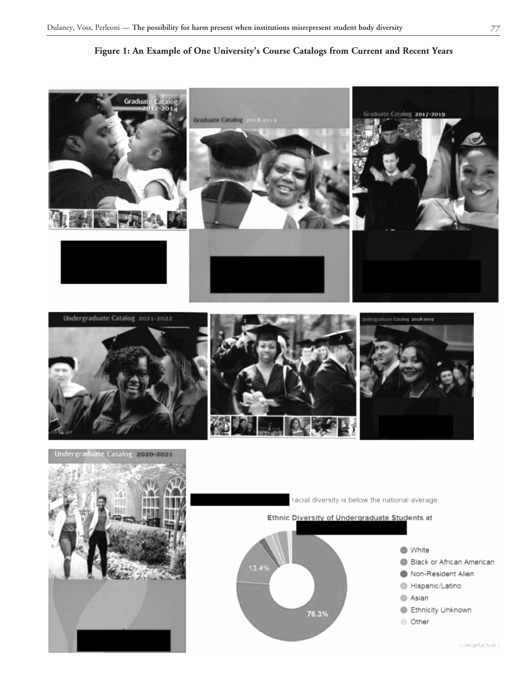# **Figure 1: An Example of One University's Course Catalogs from Current and Recent Years**



collegefactual c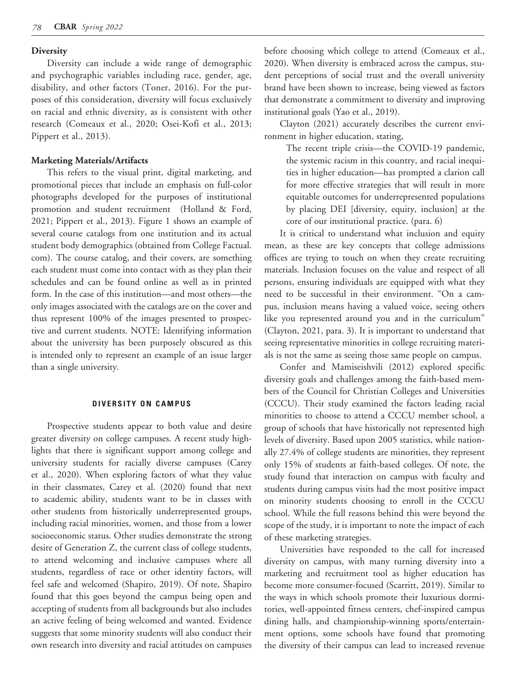## **Diversity**

Diversity can include a wide range of demographic and psychographic variables including race, gender, age, disability, and other factors (Toner, 2016). For the purposes of this consideration, diversity will focus exclusively on racial and ethnic diversity, as is consistent with other research (Comeaux et al., 2020; Osei-Kofi et al., 2013; Pippert et al., 2013).

# **Marketing Materials/Artifacts**

This refers to the visual print, digital marketing, and promotional pieces that include an emphasis on full-color photographs developed for the purposes of institutional promotion and student recruitment (Holland & Ford, 2021; Pippert et al., 2013). Figure 1 shows an example of several course catalogs from one institution and its actual student body demographics (obtained from College Factual. com). The course catalog, and their covers, are something each student must come into contact with as they plan their schedules and can be found online as well as in printed form. In the case of this institution—and most others—the only images associated with the catalogs are on the cover and thus represent 100% of the images presented to prospective and current students. NOTE: Identifying information about the university has been purposely obscured as this is intended only to represent an example of an issue larger than a single university.

## **DIVERSITY ON CAMPUS**

Prospective students appear to both value and desire greater diversity on college campuses. A recent study highlights that there is significant support among college and university students for racially diverse campuses (Carey et al., 2020). When exploring factors of what they value in their classmates, Carey et al. (2020) found that next to academic ability, students want to be in classes with other students from historically underrepresented groups, including racial minorities, women, and those from a lower socioeconomic status. Other studies demonstrate the strong desire of Generation Z, the current class of college students, to attend welcoming and inclusive campuses where all students, regardless of race or other identity factors, will feel safe and welcomed (Shapiro, 2019). Of note, Shapiro found that this goes beyond the campus being open and accepting of students from all backgrounds but also includes an active feeling of being welcomed and wanted. Evidence suggests that some minority students will also conduct their own research into diversity and racial attitudes on campuses

before choosing which college to attend (Comeaux et al., 2020). When diversity is embraced across the campus, student perceptions of social trust and the overall university brand have been shown to increase, being viewed as factors that demonstrate a commitment to diversity and improving institutional goals (Yao et al., 2019).

Clayton (2021) accurately describes the current environment in higher education, stating,

The recent triple crisis—the COVID-19 pandemic, the systemic racism in this country, and racial inequities in higher education—has prompted a clarion call for more effective strategies that will result in more equitable outcomes for underrepresented populations by placing DEI [diversity, equity, inclusion] at the core of our institutional practice. (para. 6)

It is critical to understand what inclusion and equity mean, as these are key concepts that college admissions offices are trying to touch on when they create recruiting materials. Inclusion focuses on the value and respect of all persons, ensuring individuals are equipped with what they need to be successful in their environment. "On a campus, inclusion means having a valued voice, seeing others like you represented around you and in the curriculum" (Clayton, 2021, para. 3). It is important to understand that seeing representative minorities in college recruiting materials is not the same as seeing those same people on campus.

Confer and Mamiseishvili (2012) explored specific diversity goals and challenges among the faith-based members of the Council for Christian Colleges and Universities (CCCU). Their study examined the factors leading racial minorities to choose to attend a CCCU member school, a group of schools that have historically not represented high levels of diversity. Based upon 2005 statistics, while nationally 27.4% of college students are minorities, they represent only 15% of students at faith-based colleges. Of note, the study found that interaction on campus with faculty and students during campus visits had the most positive impact on minority students choosing to enroll in the CCCU school. While the full reasons behind this were beyond the scope of the study, it is important to note the impact of each of these marketing strategies.

Universities have responded to the call for increased diversity on campus, with many turning diversity into a marketing and recruitment tool as higher education has become more consumer-focused (Scarritt, 2019). Similar to the ways in which schools promote their luxurious dormitories, well-appointed fitness centers, chef-inspired campus dining halls, and championship-winning sports/entertainment options, some schools have found that promoting the diversity of their campus can lead to increased revenue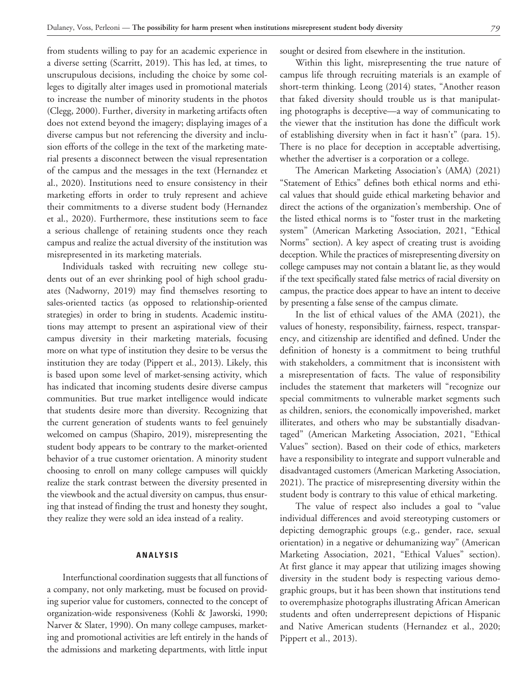from students willing to pay for an academic experience in a diverse setting (Scarritt, 2019). This has led, at times, to unscrupulous decisions, including the choice by some colleges to digitally alter images used in promotional materials to increase the number of minority students in the photos (Clegg, 2000). Further, diversity in marketing artifacts often does not extend beyond the imagery; displaying images of a diverse campus but not referencing the diversity and inclusion efforts of the college in the text of the marketing material presents a disconnect between the visual representation of the campus and the messages in the text (Hernandez et al., 2020). Institutions need to ensure consistency in their marketing efforts in order to truly represent and achieve their commitments to a diverse student body (Hernandez et al., 2020). Furthermore, these institutions seem to face a serious challenge of retaining students once they reach campus and realize the actual diversity of the institution was misrepresented in its marketing materials.

Individuals tasked with recruiting new college students out of an ever shrinking pool of high school graduates (Nadworny, 2019) may find themselves resorting to sales-oriented tactics (as opposed to relationship-oriented strategies) in order to bring in students. Academic institutions may attempt to present an aspirational view of their campus diversity in their marketing materials, focusing more on what type of institution they desire to be versus the institution they are today (Pippert et al., 2013). Likely, this is based upon some level of market-sensing activity, which has indicated that incoming students desire diverse campus communities. But true market intelligence would indicate that students desire more than diversity. Recognizing that the current generation of students wants to feel genuinely welcomed on campus (Shapiro, 2019), misrepresenting the student body appears to be contrary to the market-oriented behavior of a true customer orientation. A minority student choosing to enroll on many college campuses will quickly realize the stark contrast between the diversity presented in the viewbook and the actual diversity on campus, thus ensuring that instead of finding the trust and honesty they sought, they realize they were sold an idea instead of a reality.

# **ANALYSIS**

Interfunctional coordination suggests that all functions of a company, not only marketing, must be focused on providing superior value for customers, connected to the concept of organization-wide responsiveness (Kohli & Jaworski, 1990; Narver & Slater, 1990). On many college campuses, marketing and promotional activities are left entirely in the hands of the admissions and marketing departments, with little input

sought or desired from elsewhere in the institution.

Within this light, misrepresenting the true nature of campus life through recruiting materials is an example of short-term thinking. Leong (2014) states, "Another reason that faked diversity should trouble us is that manipulating photographs is deceptive—a way of communicating to the viewer that the institution has done the difficult work of establishing diversity when in fact it hasn't" (para. 15). There is no place for deception in acceptable advertising, whether the advertiser is a corporation or a college.

The American Marketing Association's (AMA) (2021) "Statement of Ethics" defines both ethical norms and ethical values that should guide ethical marketing behavior and direct the actions of the organization's membership. One of the listed ethical norms is to "foster trust in the marketing system" (American Marketing Association, 2021, "Ethical Norms" section). A key aspect of creating trust is avoiding deception. While the practices of misrepresenting diversity on college campuses may not contain a blatant lie, as they would if the text specifically stated false metrics of racial diversity on campus, the practice does appear to have an intent to deceive by presenting a false sense of the campus climate.

In the list of ethical values of the AMA (2021), the values of honesty, responsibility, fairness, respect, transparency, and citizenship are identified and defined. Under the definition of honesty is a commitment to being truthful with stakeholders, a commitment that is inconsistent with a misrepresentation of facts. The value of responsibility includes the statement that marketers will "recognize our special commitments to vulnerable market segments such as children, seniors, the economically impoverished, market illiterates, and others who may be substantially disadvantaged" (American Marketing Association, 2021, "Ethical Values" section). Based on their code of ethics, marketers have a responsibility to integrate and support vulnerable and disadvantaged customers (American Marketing Association, 2021). The practice of misrepresenting diversity within the student body is contrary to this value of ethical marketing.

The value of respect also includes a goal to "value individual differences and avoid stereotyping customers or depicting demographic groups (e.g., gender, race, sexual orientation) in a negative or dehumanizing way" (American Marketing Association, 2021, "Ethical Values" section). At first glance it may appear that utilizing images showing diversity in the student body is respecting various demographic groups, but it has been shown that institutions tend to overemphasize photographs illustrating African American students and often underrepresent depictions of Hispanic and Native American students (Hernandez et al., 2020; Pippert et al., 2013).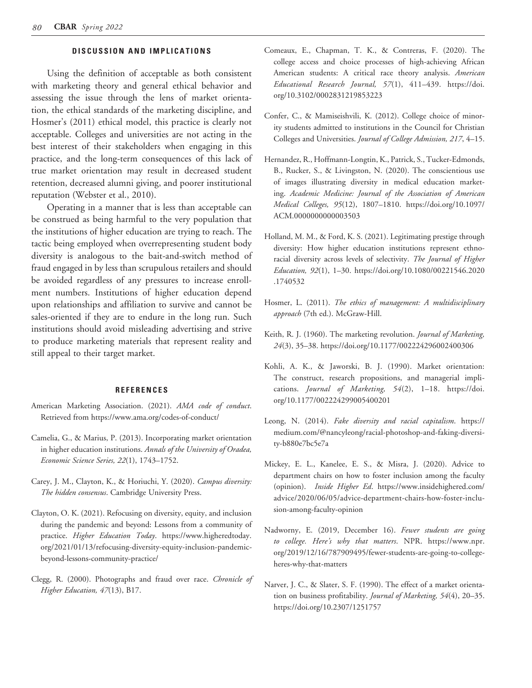## **DISCUSSION AND IMPLICATIONS**

Using the definition of acceptable as both consistent with marketing theory and general ethical behavior and assessing the issue through the lens of market orientation, the ethical standards of the marketing discipline, and Hosmer's (2011) ethical model, this practice is clearly not acceptable. Colleges and universities are not acting in the best interest of their stakeholders when engaging in this practice, and the long-term consequences of this lack of true market orientation may result in decreased student retention, decreased alumni giving, and poorer institutional reputation (Webster et al., 2010).

Operating in a manner that is less than acceptable can be construed as being harmful to the very population that the institutions of higher education are trying to reach. The tactic being employed when overrepresenting student body diversity is analogous to the bait-and-switch method of fraud engaged in by less than scrupulous retailers and should be avoided regardless of any pressures to increase enrollment numbers. Institutions of higher education depend upon relationships and affiliation to survive and cannot be sales-oriented if they are to endure in the long run. Such institutions should avoid misleading advertising and strive to produce marketing materials that represent reality and still appeal to their target market.

#### **REFERENCES**

- American Marketing Association. (2021). *AMA code of conduct*. Retrieved from https://www.ama.org/codes-of-conduct/
- Camelia, G., & Marius, P. (2013). Incorporating market orientation in higher education institutions. *Annals of the University of Oradea, Economic Science Series, 22*(1), 1743–1752.
- Carey, J. M., Clayton, K., & Horiuchi, Y. (2020). *Campus diversity: The hidden consensus*. Cambridge University Press.
- Clayton, O. K. (2021). Refocusing on diversity, equity, and inclusion during the pandemic and beyond: Lessons from a community of practice. *Higher Education Today*. https://www.higheredtoday. org/2021/01/13/refocusing-diversity-equity-inclusion-pandemicbeyond-lessons-community-practice/
- Clegg, R. (2000). Photographs and fraud over race. *Chronicle of Higher Education, 47*(13), B17.
- Comeaux, E., Chapman, T. K., & Contreras, F. (2020). The college access and choice processes of high-achieving African American students: A critical race theory analysis. *American Educational Research Journal, 57*(1), 411–439. https://doi. org/10.3102/0002831219853223
- Confer, C., & Mamiseishvili, K. (2012). College choice of minority students admitted to institutions in the Council for Christian Colleges and Universities. *Journal of College Admission, 217*, 4–15.
- Hernandez, R., Hoffmann-Longtin, K., Patrick, S., Tucker-Edmonds, B., Rucker, S., & Livingston, N. (2020). The conscientious use of images illustrating diversity in medical education marketing. *Academic Medicine: Journal of the Association of American Medical Colleges, 95*(12), 1807–1810. https://doi.org/10.1097/ ACM.0000000000003503
- Holland, M. M., & Ford, K. S. (2021). Legitimating prestige through diversity: How higher education institutions represent ethnoracial diversity across levels of selectivity. *The Journal of Higher Education, 92*(1), 1–30. https://doi.org/10.1080/00221546.2020 .1740532
- Hosmer, L. (2011). *The ethics of management: A multidisciplinary approach* (7th ed.). McGraw-Hill.
- Keith, R. J. (1960). The marketing revolution. *Journal of Marketing, 24*(3), 35–38. https://doi.org/10.1177/002224296002400306
- Kohli, A. K., & Jaworski, B. J. (1990). Market orientation: The construct, research propositions, and managerial implications. *Journal of Marketing, 54*(2), 1–18. https://doi. org/10.1177/002224299005400201
- Leong, N. (2014). *Fake diversity and racial capitalism*. https:// medium.com/@nancyleong/racial-photoshop-and-faking-diversity-b880e7bc5e7a
- Mickey, E. L., Kanelee, E. S., & Misra, J. (2020). Advice to department chairs on how to foster inclusion among the faculty (opinion). *Inside Higher Ed*. https://www.insidehighered.com/ advice/2020/06/05/advice-department-chairs-how-foster-inclusion-among-faculty-opinion
- Nadworny, E. (2019, December 16). *Fewer students are going to college. Here's why that matters*. NPR. https://www.npr. org/2019/12/16/787909495/fewer-students-are-going-to-collegeheres-why-that-matters
- Narver, J. C., & Slater, S. F. (1990). The effect of a market orientation on business profitability. *Journal of Marketing, 54*(4), 20–35. https://doi.org/10.2307/1251757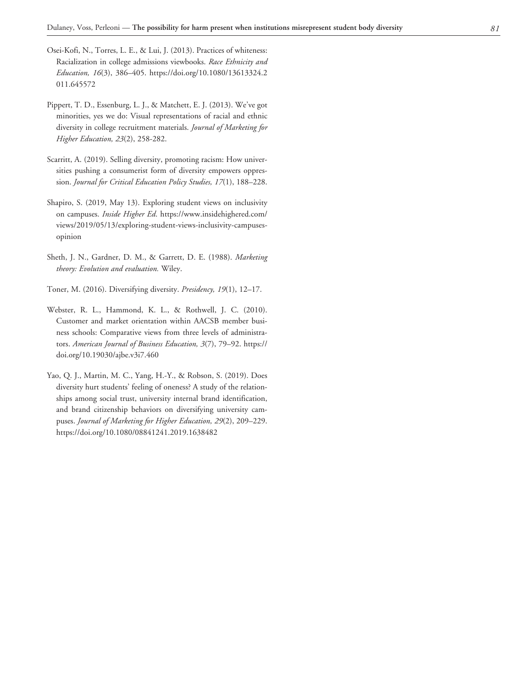- Osei-Kofi, N., Torres, L. E., & Lui, J. (2013). Practices of whiteness: Racialization in college admissions viewbooks. *Race Ethnicity and Education, 16*(3), 386–405. https://doi.org/10.1080/13613324.2 011.645572
- Pippert, T. D., Essenburg, L. J., & Matchett, E. J. (2013). We've got minorities, yes we do: Visual representations of racial and ethnic diversity in college recruitment materials. *Journal of Marketing for Higher Education, 23*(2), 258-282.
- Scarritt, A. (2019). Selling diversity, promoting racism: How universities pushing a consumerist form of diversity empowers oppression. *Journal for Critical Education Policy Studies, 17*(1), 188–228.
- Shapiro, S. (2019, May 13). Exploring student views on inclusivity on campuses. *Inside Higher Ed*. https://www.insidehighered.com/ views/2019/05/13/exploring-student-views-inclusivity-campusesopinion
- Sheth, J. N., Gardner, D. M., & Garrett, D. E. (1988). *Marketing theory: Evolution and evaluation.* Wiley.
- Toner, M. (2016). Diversifying diversity. *Presidency, 19*(1), 12–17.
- Webster, R. L., Hammond, K. L., & Rothwell, J. C. (2010). Customer and market orientation within AACSB member business schools: Comparative views from three levels of administrators. *American Journal of Business Education, 3*(7), 79–92. https:// doi.org/10.19030/ajbe.v3i7.460
- Yao, Q. J., Martin, M. C., Yang, H.-Y., & Robson, S. (2019). Does diversity hurt students' feeling of oneness? A study of the relationships among social trust, university internal brand identification, and brand citizenship behaviors on diversifying university campuses. *Journal of Marketing for Higher Education, 29*(2), 209–229. https://doi.org/10.1080/08841241.2019.1638482